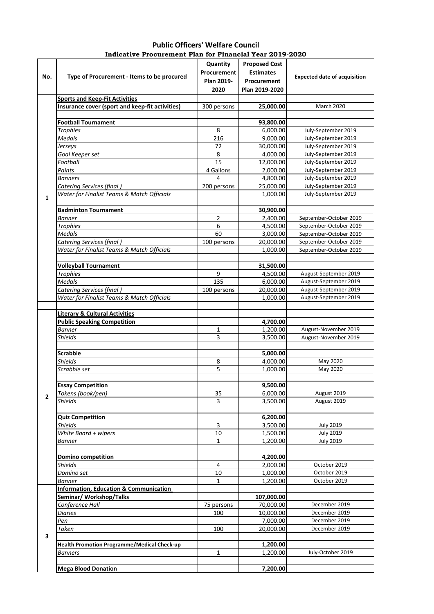| <b>Public Officers' Welfare Council</b>                  |  |  |  |  |  |  |  |
|----------------------------------------------------------|--|--|--|--|--|--|--|
| Indicative Procurement Plan for Financial Year 2019-2020 |  |  |  |  |  |  |  |
|                                                          |  |  |  |  |  |  |  |

| No.            | Type of Procurement - Items to be procured         | Quantity<br>Procurement<br>Plan 2019-<br>2020 | <b>Proposed Cost</b><br><b>Estimates</b><br>Procurement<br>Plan 2019-2020 | <b>Expected date of acquisition</b> |
|----------------|----------------------------------------------------|-----------------------------------------------|---------------------------------------------------------------------------|-------------------------------------|
|                | <b>Sports and Keep-Fit Activities</b>              |                                               |                                                                           |                                     |
|                | Insurance cover (sport and keep-fit activities)    | 300 persons                                   | 25,000.00                                                                 | <b>March 2020</b>                   |
|                |                                                    |                                               |                                                                           |                                     |
|                | <b>Football Tournament</b>                         |                                               | 93,800.00                                                                 |                                     |
|                | <b>Trophies</b>                                    | 8                                             | 6,000.00                                                                  | July-September 2019                 |
|                | <b>Medals</b>                                      | 216                                           | 9,000.00                                                                  | July-September 2019                 |
|                | Jerseys                                            | 72                                            | 30,000.00                                                                 | July-September 2019                 |
|                | Goal Keeper set                                    | 8                                             | 4,000.00                                                                  | July-September 2019                 |
|                | Football                                           | $\overline{15}$                               | 12,000.00                                                                 | July-September 2019                 |
|                | Paints                                             | 4 Gallons                                     | 2,000.00                                                                  | July-September 2019                 |
|                | <b>Banners</b>                                     | 4                                             | 4,800.00                                                                  | July-September 2019                 |
|                | Catering Services (final)                          | 200 persons                                   | 25,000.00                                                                 | July-September 2019                 |
| $\mathbf{1}$   | Water for Finalist Teams & Match Officials         |                                               | 1,000.00                                                                  | July-September 2019                 |
|                |                                                    |                                               |                                                                           |                                     |
|                | <b>Badminton Tournament</b>                        |                                               | 30,900.00                                                                 |                                     |
|                | <b>Banner</b>                                      | $\overline{2}$                                | 2,400.00                                                                  | September-October 2019              |
|                | <b>Trophies</b>                                    | 6                                             | 4,500.00                                                                  | September-October 2019              |
|                | Medals                                             | 60                                            | 3,000.00                                                                  | September-October 2019              |
|                | <b>Catering Services (final)</b>                   | 100 persons                                   | 20,000.00                                                                 | September-October 2019              |
|                | Water for Finalist Teams & Match Officials         |                                               | 1,000.00                                                                  | September-October 2019              |
|                |                                                    |                                               |                                                                           |                                     |
|                | <b>Volleyball Tournament</b>                       |                                               | 31,500.00                                                                 |                                     |
|                | <b>Trophies</b>                                    | 9                                             | 4,500.00                                                                  | August-September 2019               |
|                | <b>Medals</b>                                      | 135                                           | 6,000.00                                                                  | August-September 2019               |
|                | <b>Catering Services (final)</b>                   | 100 persons                                   | 20,000.00                                                                 | August-September 2019               |
|                | Water for Finalist Teams & Match Officials         |                                               | 1,000.00                                                                  | August-September 2019               |
|                |                                                    |                                               |                                                                           |                                     |
|                | <b>Literary &amp; Cultural Activities</b>          |                                               |                                                                           |                                     |
|                | <b>Public Speaking Competition</b>                 |                                               | 4,700.00                                                                  |                                     |
|                | <b>Banner</b>                                      | 1                                             | 1,200.00                                                                  | August-November 2019                |
|                | <b>Shields</b>                                     | 3                                             | 3,500.00                                                                  | August-November 2019                |
|                |                                                    |                                               |                                                                           |                                     |
|                | <b>Scrabble</b>                                    |                                               | 5,000.00                                                                  |                                     |
|                | <b>Shields</b>                                     | 8                                             | 4,000.00                                                                  | May 2020                            |
|                | Scrabble set                                       | 5                                             | 1,000.00                                                                  | May 2020                            |
|                |                                                    |                                               |                                                                           |                                     |
|                | <b>Essay Competition</b>                           |                                               | 9,500.00                                                                  |                                     |
| $\overline{2}$ | Tokens (book/pen)                                  | 35                                            | 6,000.00                                                                  | August 2019                         |
|                | <b>Shields</b>                                     | 3                                             | 3,500.00                                                                  | August 2019                         |
|                |                                                    |                                               |                                                                           |                                     |
|                | <b>Quiz Competition</b>                            |                                               | 6,200.00                                                                  |                                     |
|                | <b>Shields</b>                                     | 3                                             | 3,500.00                                                                  | <b>July 2019</b>                    |
|                | White Board $+$ wipers                             | 10                                            | 1,500.00                                                                  | <b>July 2019</b>                    |
|                | Banner                                             | 1                                             | 1,200.00                                                                  | <b>July 2019</b>                    |
|                |                                                    |                                               |                                                                           |                                     |
|                | <b>Domino competition</b>                          |                                               | 4,200.00                                                                  |                                     |
|                | <b>Shields</b>                                     | 4                                             | 2,000.00                                                                  | October 2019                        |
|                | Domino set                                         | 10                                            | 1,000.00                                                                  | October 2019                        |
|                | <b>Banner</b>                                      | $\mathbf{1}$                                  | 1,200.00                                                                  | October 2019                        |
|                | <b>Information, Education &amp; Communication</b>  |                                               |                                                                           |                                     |
| 3              | Seminar/ Workshop/Talks                            |                                               | 107,000.00                                                                |                                     |
|                | Conference Hall                                    | 75 persons                                    | 70,000.00                                                                 | December 2019                       |
|                | <b>Diaries</b>                                     | 100                                           | 10,000.00                                                                 | December 2019                       |
|                | Pen                                                |                                               | 7,000.00                                                                  | December 2019                       |
|                | Token                                              | 100                                           | 20,000.00                                                                 | December 2019                       |
|                |                                                    |                                               |                                                                           |                                     |
|                | <b>Health Promotion Programme/Medical Check-up</b> |                                               | 1,200.00                                                                  |                                     |
|                | <b>Banners</b>                                     | $\mathbf{1}$                                  | 1,200.00                                                                  | July-October 2019                   |
|                |                                                    |                                               |                                                                           |                                     |
|                | <b>Mega Blood Donation</b>                         |                                               | 7,200.00                                                                  |                                     |